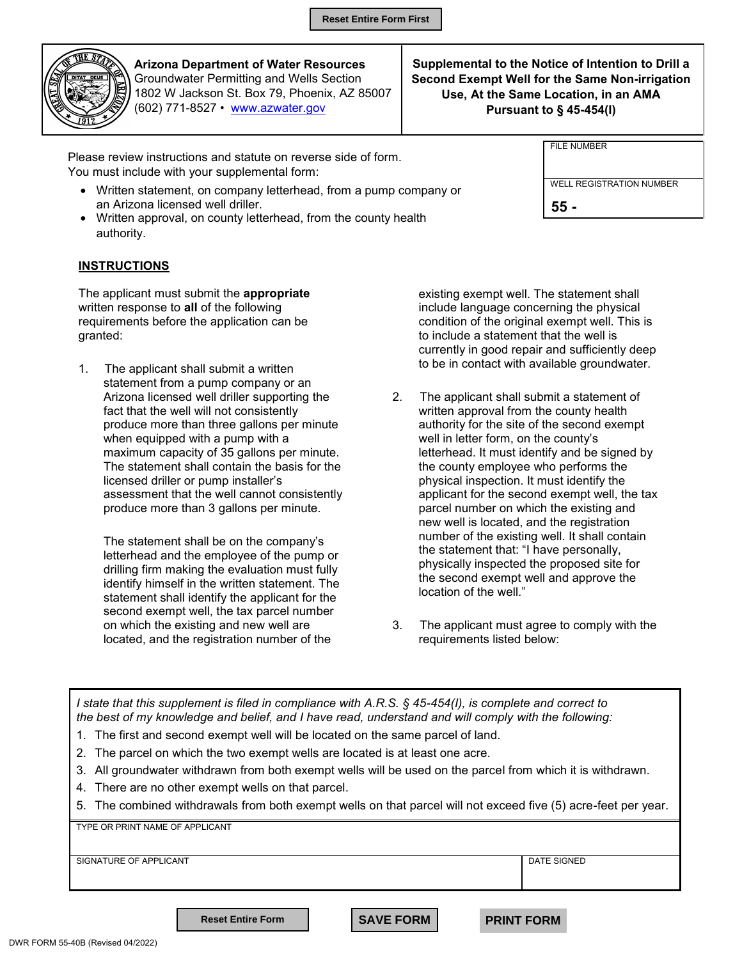

**Arizona Department of Water Resources** Groundwater Permitting and Wells Section 1802 W Jackson St. Box 79, Phoenix, AZ 85007 (602) 771-8527 • www.azwater.gov

**Supplemental to the Notice of Intention to Drill a Second Exempt Well for the Same Non-irrigation Use, At the Same Location, in an AMA Pursuant to § 45-454(I)** 

FILE NUMBER

**55 -**

WELL REGISTRATION NUMBER

| Please review instructions and statute on reverse side of form. |
|-----------------------------------------------------------------|
| You must include with your supplemental form:                   |

- Written statement, on company letterhead, from a pump company or an Arizona licensed well driller.
- Written approval, on county letterhead, from the county health authority.

## **INSTRUCTIONS**

The applicant must submit the **appropriate**  written response to **all** of the following requirements before the application can be granted:

1. The applicant shall submit a written statement from a pump company or an Arizona licensed well driller supporting the fact that the well will not consistently produce more than three gallons per minute when equipped with a pump with a maximum capacity of 35 gallons per minute. The statement shall contain the basis for the licensed driller or pump installer's assessment that the well cannot consistently produce more than 3 gallons per minute.

The statement shall be on the company's letterhead and the employee of the pump or drilling firm making the evaluation must fully identify himself in the written statement. The statement shall identify the applicant for the second exempt well, the tax parcel number on which the existing and new well are located, and the registration number of the

existing exempt well. The statement shall include language concerning the physical condition of the original exempt well. This is to include a statement that the well is currently in good repair and sufficiently deep to be in contact with available groundwater.

- 2. The applicant shall submit a statement of written approval from the county health authority for the site of the second exempt well in letter form, on the county's letterhead. It must identify and be signed by the county employee who performs the physical inspection. It must identify the applicant for the second exempt well, the tax parcel number on which the existing and new well is located, and the registration number of the existing well. It shall contain the statement that: "I have personally, physically inspected the proposed site for the second exempt well and approve the location of the well."
- 3. The applicant must agree to comply with the requirements listed below:

| the best of my knowledge and belief, and I have read, understand and will comply with the following: | I state that this supplement is filed in compliance with A.R.S. § 45-454(I), is complete and correct to |  |
|------------------------------------------------------------------------------------------------------|---------------------------------------------------------------------------------------------------------|--|
|                                                                                                      |                                                                                                         |  |

- 1. The first and second exempt well will be located on the same parcel of land.
- 2. The parcel on which the two exempt wells are located is at least one acre.
- 3. All groundwater withdrawn from both exempt wells will be used on the parcel from which it is withdrawn.
- 4. There are no other exempt wells on that parcel.
- 5. The combined withdrawals from both exempt wells on that parcel will not exceed five (5) acre-feet per year.

TYPE OR PRINT NAME OF APPLICANT SIGNATURE OF APPLICANT **DATE SIGNED Reset Entire Form**  $\parallel$  **SAVE FORM PRINT FORM**